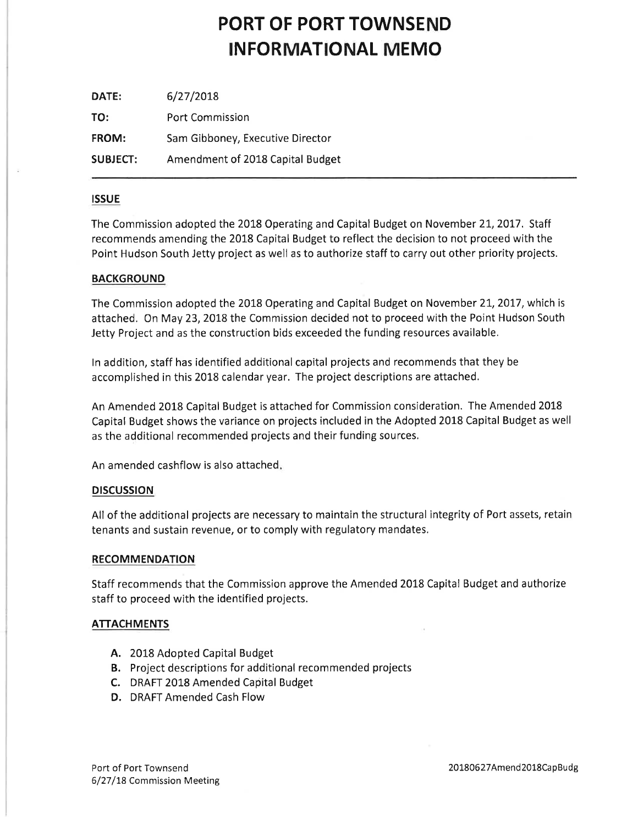## PORT OF PORT TOWNSEND INFORMATIONAL MEMO

| DATE:           | 6/27/2018                        |
|-----------------|----------------------------------|
| TO:             | <b>Port Commission</b>           |
| FROM:           | Sam Gibboney, Executive Director |
| <b>SUBJECT:</b> | Amendment of 2018 Capital Budget |

#### ISSUE

The Commission adopted the 2018 Operating and Capital Budget on November 21, 2017. Staff recommends amending the 2018 Capital Budget to reflect the decision to not proceed with the Point Hudson South Jetty project as well as to authorize staff to carry out other priority projects.

#### **BACKGROUND**

The Commission adopted the 2018 Operating and Capital Budget on November 21, 2017, which is attached. On May 23, 2018 the Commission decided not to proceed with the Point Hudson South Jetty Project and as the construction bids exceeded the funding resources available,

ln addition, staff has identified additional capital projects and recommends that they be accomplished in this 2018 calendar year, The project descriptions are attached.

An Amended 20L8 Capital Budget is attached for Commission consideration. The Amended 20L8 Capital Budget shows the variance on projects included in the Adopted 20L8 Capital Budget as well as the additional recommended projects and their funding sources,

An amended cashflow is also attached

#### **DISCUSSION**

All of the additional projects are necessary to maintain the structural integrity of Port assets, retaín tenants and sustain revenue, or to comply with regulatory mandates,

#### RECOMMENDATION

Staff recommends that the Commission approve the Amended 2018 Capital Budget and authorize staff to proceed with the identified projects.

#### **ATTACHMENTS**

- A. 2018 Adopted Capital Budget
- B. Project descriptions for additional recommended projects
- C. DRAFT 2018 Amended Capital Budget
- D. DRAFT Amended Cash Flow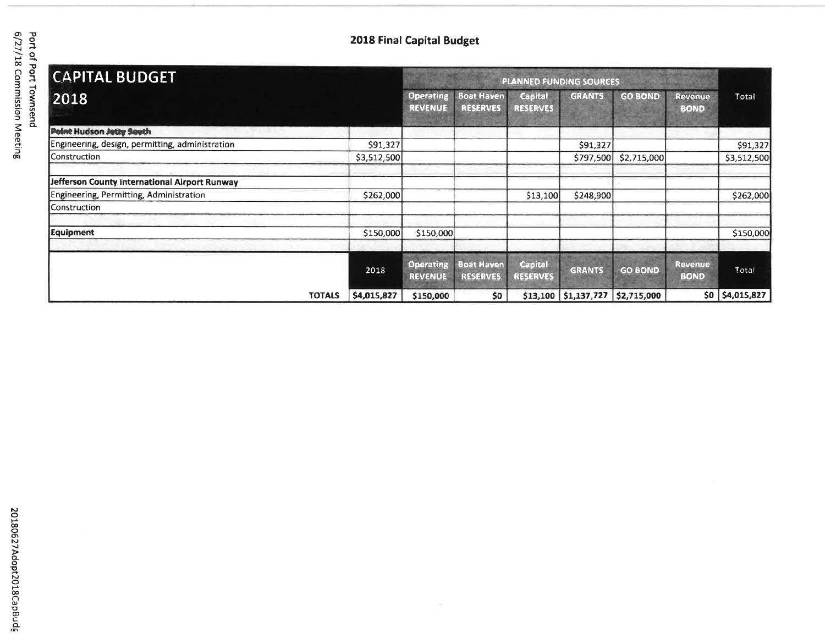## 2018 Final Capital Budget

| <b>CAPITAL BUDGET</b>                           |                              | <b>PLANNED FUNDING SOURCES</b>     |                                      |                                   |                      |                |                               |             |  |
|-------------------------------------------------|------------------------------|------------------------------------|--------------------------------------|-----------------------------------|----------------------|----------------|-------------------------------|-------------|--|
| 2018                                            |                              | Operating<br><b>REVENUE</b>        | <b>Boat Haven</b><br><b>RESERVES</b> | <b>Capital</b><br><b>RESERVES</b> | <b>GRANTS</b>        | <b>GO BOND</b> | <b>Revenue</b><br><b>BOND</b> | Total       |  |
| Point Hudson Jetty South                        |                              |                                    |                                      |                                   |                      |                |                               |             |  |
| Engineering, design, permitting, administration | \$91,327                     |                                    |                                      |                                   | \$91,327             |                |                               | \$91,327    |  |
| Construction                                    | \$3,512,500                  |                                    |                                      |                                   | \$797,500            | \$2,715,000    |                               | \$3,512,500 |  |
| Jefferson County International Airport Runway   |                              |                                    |                                      |                                   |                      |                |                               |             |  |
| Engineering, Permitting, Administration         | \$262,000                    |                                    |                                      | \$13,100                          | \$248,900            |                |                               | \$262,000   |  |
| Construction                                    |                              |                                    |                                      |                                   |                      |                |                               |             |  |
| <b>Equipment</b>                                | \$150,000                    | \$150,000                          |                                      |                                   |                      |                |                               | \$150,000   |  |
|                                                 | 2018                         | <b>Operating</b><br><b>REVENUE</b> | <b>Boat Haven</b><br><b>RESERVES</b> | <b>Capital</b><br><b>RESERVES</b> | <b>GRANTS</b>        | <b>GO BOND</b> | <b>Revenue</b><br><b>BOND</b> | Total       |  |
|                                                 | \$4,015,827<br><b>TOTALS</b> | \$150,000                          | \$0                                  |                                   | \$13,100 \$1,137,727 | \$2,715,000    | \$0                           | \$4,015,827 |  |

 $\sim$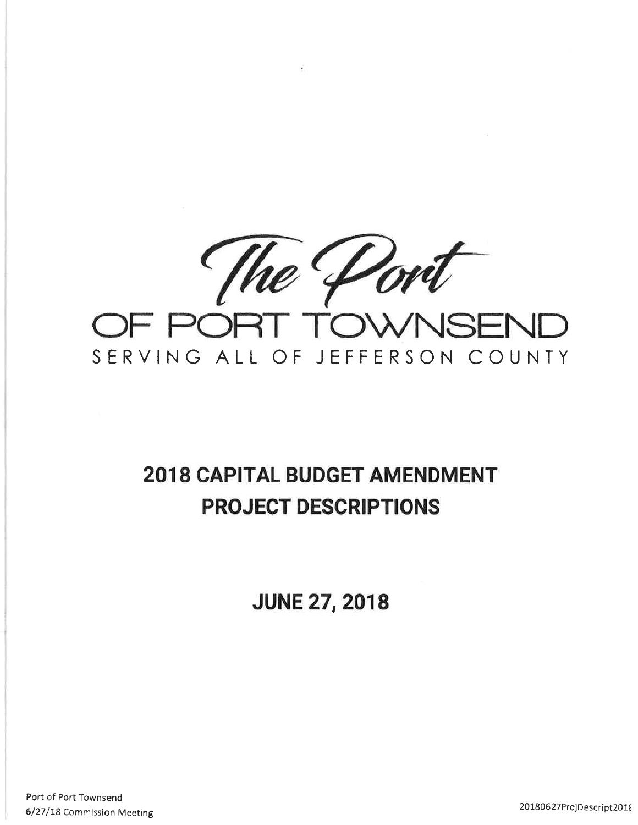

 $\sim$ 

# **2018 CAPITAL BUDGET AMENDMENT PROJECT DESCRIPTIONS**

**JUNE 27, 2018** 

Port of Port Townsend 6/27/18 Commission Meeting

20180627ProjDescript2018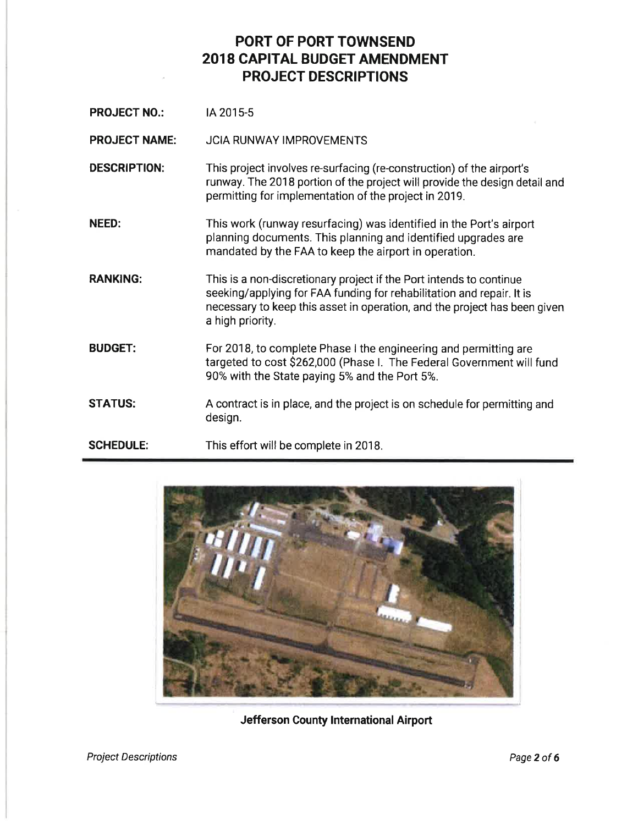**PROJECT NO.: IA 2015-5** 

PROJECT NAME: JCIA RUNWAY IMPROVEMENTS

DESCRIPTION: This project involves re-surfacing (re-construction) of the airport's runway. The 2018 portion of the project will provide the design detail and permitting for implementation of the project in 2019.

NEED: This work (runway resurfacing) was identified in the Port's airport planning documents. This planning and identified upgrades are mandated by the FAA to keep the airport in operation.

RANKING: This is a non-discretionary project if the Port intends to continue seeking/applying for FAA funding for rehabilitation and repair. lt is necessary to keep this asset in operation, and the project has been given a high priority.

BUDGET: For 2018, to complete Phase I the engineering and permitting are targeted to cost \$262,000 (Phase I. The Federal Government will fund 90% with the State paying 5% and the Port 5%.

STATUS: A contract is in place, and the project is on schedule for permitting and design.

SCHEDULE: This effort will be complete in 2018.



Jefferson County lnternational Airport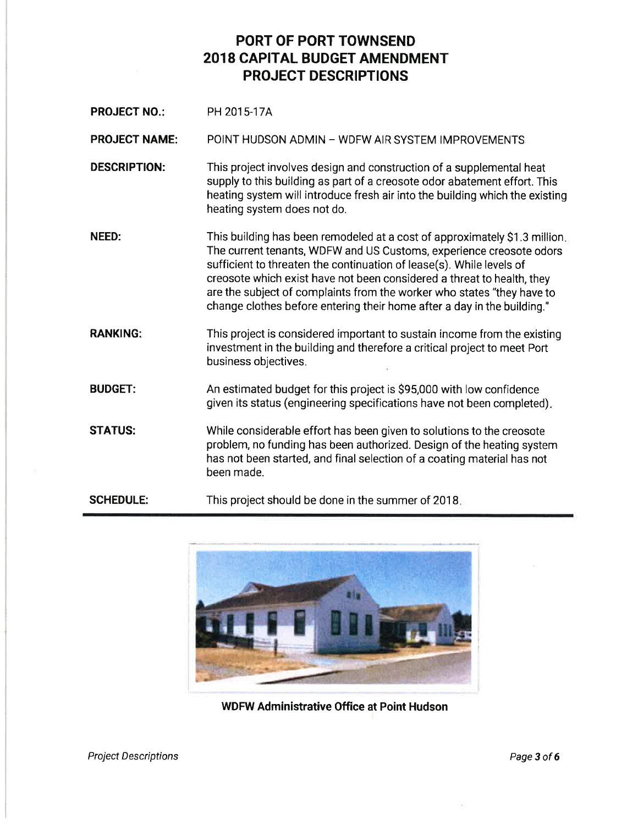PROJECT NO.: PH 2015-17A

PROJECT NAME: POINT HUDSON ADMIN - WDFW AIR SYSTEM IMPROVEMENTS

- DESCRIPTION: This project involves design and construction of a supplemental heat supply to this building as part of a creosote odor abatement effort. This heating system will introduce fresh air into the building which the existing heating system does not do.
- NEED: This building has been remodeled at a cost of approximately \$1.3 million The current tenants, WDFW and US Customs, experience creosote odors sufficient to threaten the continuation of lease(s). While levels of creosote which exist have not been considered a threat to health, they are the subject of complaints from the worker who states 'they have to change clothes before entering their home after a day in the building."
- RANKING: This project is considered important to sustain income from the existing investment in the building and therefore a critical project to meet Port business objectives.
- BUDGET: An estimated budget for this project is \$95,000 with low confidence given its status (engineering specifications have not been completed)
- STATUS: While considerable effort has been given to solutions to the creosote problem, no funding has been authorized. Design of the heating system has not been started, and final selection of a coating material has not been made.
- SCHEDULE: This project should be done in the summer of 2018



WDFW Administrative Office at Point Hudson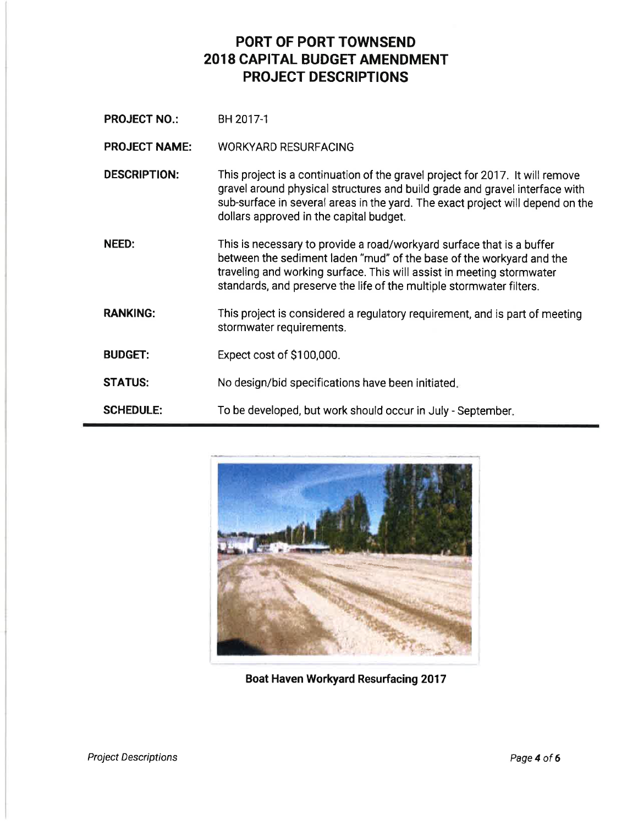**PROJECT NO.:** BH 2017-1

PROJECT NAME: WORKYARD RESURFACING

- DESCRIPTION: This project is a continuation of the gravel project for 2017. lt will remove gravel around physical structures and build grade and gravel interface with sub-surface in several areas in the yard. The exact project will depend on the dollars approved in the capital budget.
- NEED: This is necessary to provide a road/workyard surface that is a buffer between the sediment laden "mud" of the base of the workyard and the traveling and working surface. This will assist in meeting stormwater standards, and preserve the life of the multiple stormwater filters.
- RANKING: This project is considered a regulatory requirement, and is part of meeting stormwater requirements.
- BUDGET: Expect cost of \$1 00,000.
- **STATUS:** No design/bid specifications have been initiated
- SCHEDULE: To be developed, but work should occur in July - September



Boat Haven Workyard Resurfacing 2017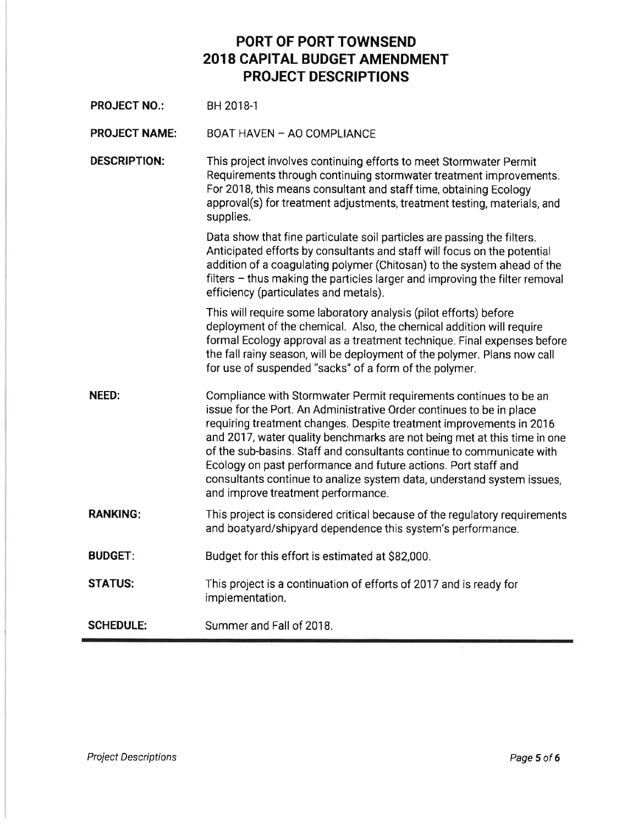| <b>PROJECT NO.:</b>  | BH 2018-1                                                                                                                                                                                                                                                                                                                                                                                                                                                                                                                                               |
|----------------------|---------------------------------------------------------------------------------------------------------------------------------------------------------------------------------------------------------------------------------------------------------------------------------------------------------------------------------------------------------------------------------------------------------------------------------------------------------------------------------------------------------------------------------------------------------|
| <b>PROJECT NAME:</b> | BOAT HAVEN - AO COMPLIANCE                                                                                                                                                                                                                                                                                                                                                                                                                                                                                                                              |
| <b>DESCRIPTION:</b>  | This project involves continuing efforts to meet Stormwater Permit<br>Requirements through continuing stormwater treatment improvements.<br>For 2018, this means consultant and staff time, obtaining Ecology<br>approval(s) for treatment adjustments, treatment testing, materials, and<br>supplies.                                                                                                                                                                                                                                                  |
|                      | Data show that fine particulate soil particles are passing the filters.<br>Anticipated efforts by consultants and staff will focus on the potential<br>addition of a coagulating polymer (Chitosan) to the system ahead of the<br>filters – thus making the particles larger and improving the filter removal<br>efficiency (particulates and metals).                                                                                                                                                                                                  |
|                      | This will require some laboratory analysis (pilot efforts) before<br>deployment of the chemical. Also, the chemical addition will require<br>formal Ecology approval as a treatment technique. Final expenses before<br>the fall rainy season, will be deployment of the polymer. Plans now call<br>for use of suspended "sacks" of a form of the polymer.                                                                                                                                                                                              |
| NEED:                | Compliance with Stormwater Permit requirements continues to be an<br>issue for the Port. An Administrative Order continues to be in place<br>requiring treatment changes. Despite treatment improvements in 2016<br>and 2017, water quality benchmarks are not being met at this time in one<br>of the sub-basins. Staff and consultants continue to communicate with<br>Ecology on past performance and future actions. Port staff and<br>consultants continue to analize system data, understand system issues,<br>and improve treatment performance. |
| <b>RANKING:</b>      | This project is considered critical because of the regulatory requirements<br>and boatyard/shipyard dependence this system's performance.                                                                                                                                                                                                                                                                                                                                                                                                               |
| <b>BUDGET:</b>       | Budget for this effort is estimated at \$82,000.                                                                                                                                                                                                                                                                                                                                                                                                                                                                                                        |
| <b>STATUS:</b>       | This project is a continuation of efforts of 2017 and is ready for<br>implementation.                                                                                                                                                                                                                                                                                                                                                                                                                                                                   |
| <b>SCHEDULE:</b>     | Summer and Fall of 2018.                                                                                                                                                                                                                                                                                                                                                                                                                                                                                                                                |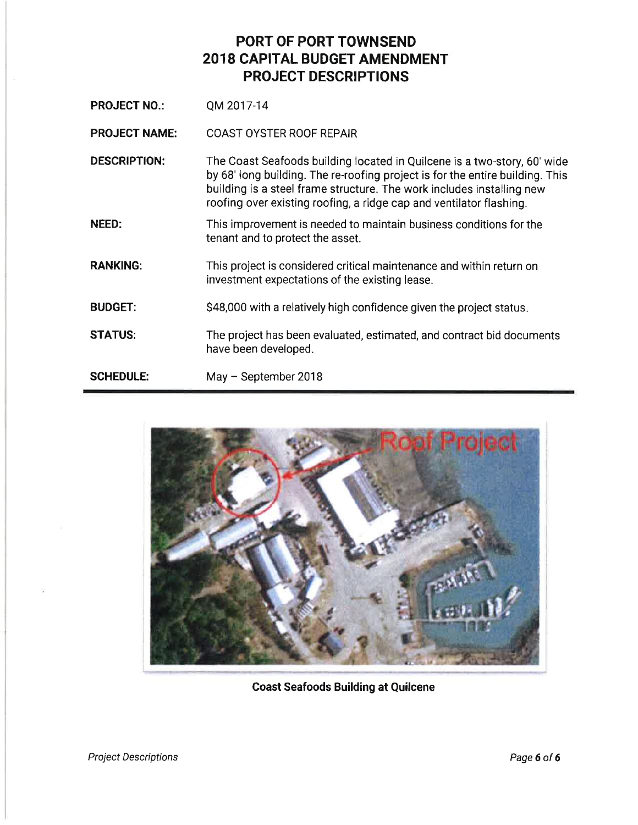**PROJECT NO.:** QM 2017-14

PROJECT NAME: COAST OYSTER ROOF REPAIR

DESCRIPTION: The Coast Seafoods building located in Quilcene is a two-story, 60'wide by 68' long building. The re-roofing project is for the entire building. This building is a steel frame structure. The work includes installing new roofing over existing roofing, a ridge cap and ventilator flashing.

- NEED: This improvement is needed to maintain business conditions for the tenant and to protect the asset.
- RANKING: This project is considered critical maintenance and within return on investment expectations of the existing lease.
- **BUDGET:** \$48,000 with a relatively high confidence given the project status.
- STATUS: The project has been evaluated, estimated, and contract bid documents have been developed.

SCHEDULE: May - September 2018



Coast Seafoods Building at Quilcene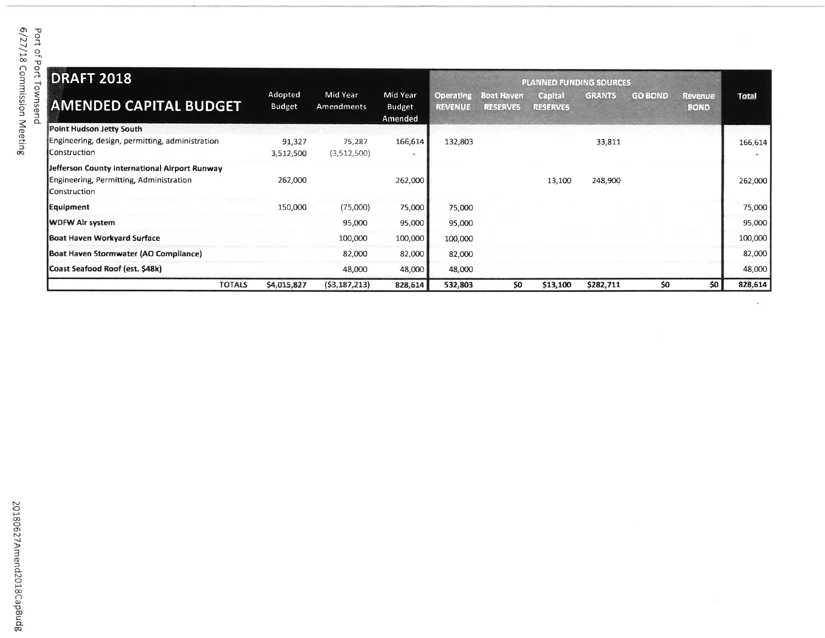| <b>DRAFT 2018</b>                                                                                        |                          |                        |                               |                                    |                                      | <b>PLANNED FUNDING SOURCES</b>    |               |                |                               |              |
|----------------------------------------------------------------------------------------------------------|--------------------------|------------------------|-------------------------------|------------------------------------|--------------------------------------|-----------------------------------|---------------|----------------|-------------------------------|--------------|
| <b>AMENDED CAPITAL BUDGET</b>                                                                            | Adopted<br><b>Budget</b> | Mid Year<br>Amendments | Mid Year<br>Budget<br>Amended | <b>Operating</b><br><b>REVENUE</b> | <b>Boat Haven</b><br><b>RESERVES</b> | <b>Capital</b><br><b>RESERVES</b> | <b>GRANTS</b> | <b>GO BOND</b> | <b>Revenue</b><br><b>BOND</b> | <b>Total</b> |
| Point Hudson Jetty South                                                                                 |                          |                        |                               |                                    |                                      |                                   |               |                |                               |              |
| Engineering, design, permitting, administration<br>Construction                                          | 91,327<br>3,512,500      | 75,287<br>(3,512,500)  | 166,614                       | 132,803                            |                                      |                                   | 33,811        |                |                               | 166,614      |
| Jefferson County International Airport Runway<br>Engineering, Permitting, Administration<br>Construction | 262,000                  |                        | 262,000                       |                                    |                                      | 13,100                            | 248,900       |                |                               | 262,000      |
| Equipment                                                                                                | 150,000                  | (75,000)               | 75,000                        | 75,000                             |                                      |                                   |               |                |                               | 75,000       |
| <b>WDFW Alr system</b>                                                                                   |                          | 95,000                 | 95,000                        | 95,000                             |                                      |                                   |               |                |                               | 95,000       |
| Boat Haven Workyard Surface                                                                              |                          | 100,000                | 100,000                       | 100,000                            |                                      |                                   |               |                |                               | 100,000      |
| Boat Haven Stormwater (AO Compliance)                                                                    |                          | 82,000                 | 82,000                        | 82,000                             |                                      |                                   |               |                |                               | 82,000       |
| Coast Seafood Roof (est. \$48k)                                                                          |                          | 48,000                 | 48,000                        | 48,000                             |                                      |                                   |               |                |                               | 48,000       |
| <b>TOTALS</b>                                                                                            | \$4,015,827              | (53, 187, 213)         | 828.614                       | 532.803                            | \$0                                  | \$13.100                          | \$282.711     | \$0            | SO I                          | 828,614      |

 $\frac{1}{2} \left( \cdot \right)$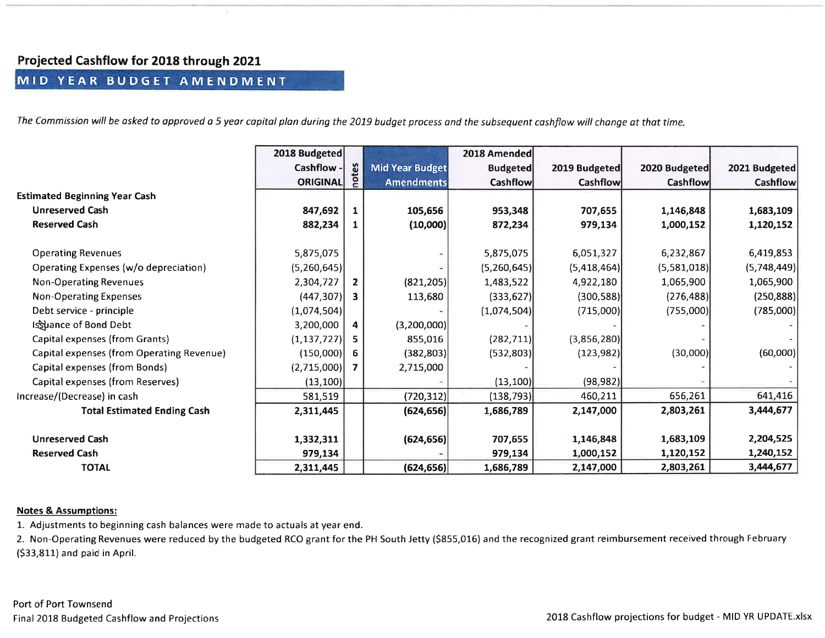#### Projected Cashflow for 2018 through 2021:

### MID YEAR BUDGET AMENDMENT

The Commission will be asked to approved a 5 year capital plan during the 2019 budget process and the subsequent cashflow will change at that time.

|                                           | 2018 Budgeted   |                |                   | 2018 Amended    |               |                 |               |
|-------------------------------------------|-----------------|----------------|-------------------|-----------------|---------------|-----------------|---------------|
|                                           | Cashflow -      | notes          | Mid Year Budget   | <b>Budgeted</b> | 2019 Budgeted | 2020 Budgeted   | 2021 Budgeted |
|                                           | <b>ORIGINAL</b> |                | <b>Amendments</b> | <b>Cashflow</b> | Cashflow      | <b>Cashflow</b> | Cashflow      |
| <b>Estimated Beginning Year Cash</b>      |                 |                |                   |                 |               |                 |               |
| <b>Unreserved Cash</b>                    | 847,692         | 1              | 105,656           | 953,348         | 707,655       | 1,146,848       | 1,683,109     |
| <b>Reserved Cash</b>                      | 882,234         |                | (10,000)          | 872,234         | 979,134       | 1,000,152       | 1,120,152     |
|                                           |                 |                |                   |                 |               |                 |               |
| <b>Operating Revenues</b>                 | 5,875,075       |                |                   | 5,875,075       | 6,051,327     | 6,232,867       | 6,419,853     |
| Operating Expenses (w/o depreciation)     | (5,260,645)     |                |                   | (5,260,645)     | (5,418,464)   | (5,581,018)     | (5,748,449)   |
| Non-Operating Revenues                    | 2,304,727       | $\overline{2}$ | (821, 205)        | 1,483,522       | 4,922,180     | 1,065,900       | 1,065,900     |
| Non-Operating Expenses                    | (447, 307)      | 3              | 113,680           | (333, 627)      | (300, 588)    | (276, 488)      | (250, 888)    |
| Debt service - principle                  | (1,074,504)     |                |                   | (1,074,504)     | (715,000)     | (755,000)       | (785,000)     |
| Is uance of Bond Debt                     | 3,200,000       | 4              | (3,200,000)       |                 |               |                 |               |
| Capital expenses (from Grants)            | (1, 137, 727)   |                | 855,016           | (282, 711)      | (3,856,280)   |                 |               |
| Capital expenses (from Operating Revenue) | (150,000)       | 6              | (382, 803)        | (532,803)       | (123, 982)    | (30,000)        | (60,000)      |
| Capital expenses (from Bonds)             | (2,715,000)     | 7              | 2,715,000         |                 |               |                 |               |
| Capital expenses (from Reserves)          | (13, 100)       |                |                   | (13, 100)       | (98, 982)     |                 |               |
| Increase/(Decrease) in cash               | 581,519         |                | (720, 312)        | (138, 793)      | 460,211       | 656,261         | 641,416       |
| <b>Total Estimated Ending Cash</b>        | 2,311,445       |                | (624, 656)        | 1,686,789       | 2,147,000     | 2,803,261       | 3,444,677     |
| <b>Unreserved Cash</b>                    | 1,332,311       |                | (624, 656)        | 707,655         | 1,146,848     | 1,683,109       | 2,204,525     |
| <b>Reserved Cash</b>                      | 979,134         |                |                   | 979,134         | 1,000,152     | 1,120,152       | 1,240,152     |
| <b>TOTAL</b>                              | 2,311,445       |                | (624, 656)        | 1,686,789       | 2,147,000     | 2,803,261       | 3,444,677     |

#### Notes & Assumptions:

1. Adjustments to beginning cash balances were made to actuals at year end.

2. Non-Operating Revenues were reduced by the budgeted RCO grant for the PH South Jetty (5855,016) and the recognized grant reimbursement received through February(533,811) and paid in April.